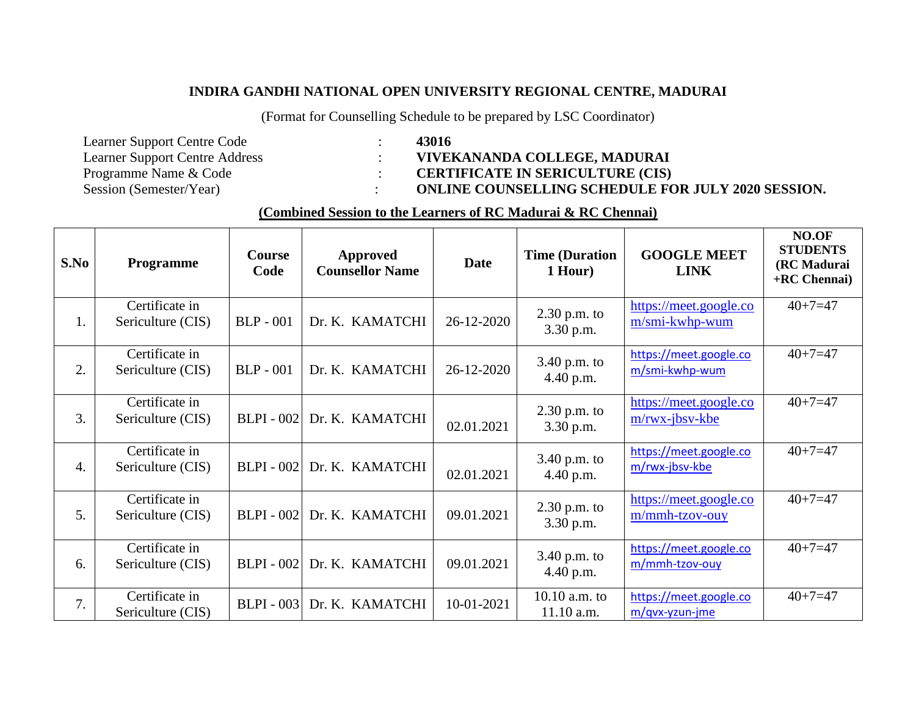## **INDIRA GANDHI NATIONAL OPEN UNIVERSITY REGIONAL CENTRE, MADURAI**

(Format for Counselling Schedule to be prepared by LSC Coordinator)

- Learner Support Centre Code : **43016**<br>Learner Support Centre Address : **43016**
- Learner Support Centre Address : **VIVEKANANDA COLLEGE, MADURAI**<br>Programme Name & Code : **CERTIFICATE IN SERICULTURE** (CIS)
	- Programme Name & Code : **CERTIFICATE IN SERICULTURE (CIS)**
- Session (Semester/Year) : **ONLINE COUNSELLING SCHEDULE FOR JULY 2020 SESSION.**

## **(Combined Session to the Learners of RC Madurai & RC Chennai)**

| S.No             | Programme                           | <b>Course</b><br>Code | <b>Approved</b><br><b>Counsellor Name</b> | <b>Date</b> | <b>Time (Duration</b><br>1 Hour) | <b>GOOGLE MEET</b><br><b>LINK</b>           | NO.OF<br><b>STUDENTS</b><br>(RC Madurai<br>+RC Chennai) |
|------------------|-------------------------------------|-----------------------|-------------------------------------------|-------------|----------------------------------|---------------------------------------------|---------------------------------------------------------|
| 1.               | Certificate in<br>Sericulture (CIS) | <b>BLP</b> - 001      | Dr. K. KAMATCHI                           | 26-12-2020  | $2.30$ p.m. to<br>3.30 p.m.      | https://meet.google.co<br>m/smi-kwhp-wum    | $40+7=47$                                               |
| 2.               | Certificate in<br>Sericulture (CIS) | <b>BLP</b> - 001      | Dr. K. KAMATCHI                           | 26-12-2020  | $3.40$ p.m. to<br>4.40 p.m.      | https://meet.google.co<br>m/smi-kwhp-wum    | $40+7=47$                                               |
| 3.               | Certificate in<br>Sericulture (CIS) | <b>BLPI</b> - 002     | Dr. K. KAMATCHI                           | 02.01.2021  | $2.30$ p.m. to<br>3.30 p.m.      | https://meet.google.co<br>$m$ /rwx-jbsv-kbe | $40+7=47$                                               |
| $\overline{4}$ . | Certificate in<br>Sericulture (CIS) | $BLPI - 002$          | Dr. K. KAMATCHI                           | 02.01.2021  | $3.40$ p.m. to<br>4.40 p.m.      | https://meet.google.co<br>m/rwx-jbsv-kbe    | $40+7=47$                                               |
| 5.               | Certificate in<br>Sericulture (CIS) | <b>BLPI</b> - 002     | Dr. K. KAMATCHI                           | 09.01.2021  | $2.30$ p.m. to<br>3.30 p.m.      | https://meet.google.co<br>m/mmh-tzov-ouy    | $40+7=47$                                               |
| 6.               | Certificate in<br>Sericulture (CIS) | <b>BLPI</b> - 002     | Dr. K. KAMATCHI                           | 09.01.2021  | 3.40 p.m. to<br>4.40 p.m.        | https://meet.google.co<br>m/mmh-tzov-ouy    | $40+7=47$                                               |
| 7.               | Certificate in<br>Sericulture (CIS) | <b>BLPI</b> - 003     | Dr. K. KAMATCHI                           | 10-01-2021  | 10.10 a.m. to<br>11.10 a.m.      | https://meet.google.co<br>$m$ /qvx-yzun-jme | $40+7=47$                                               |